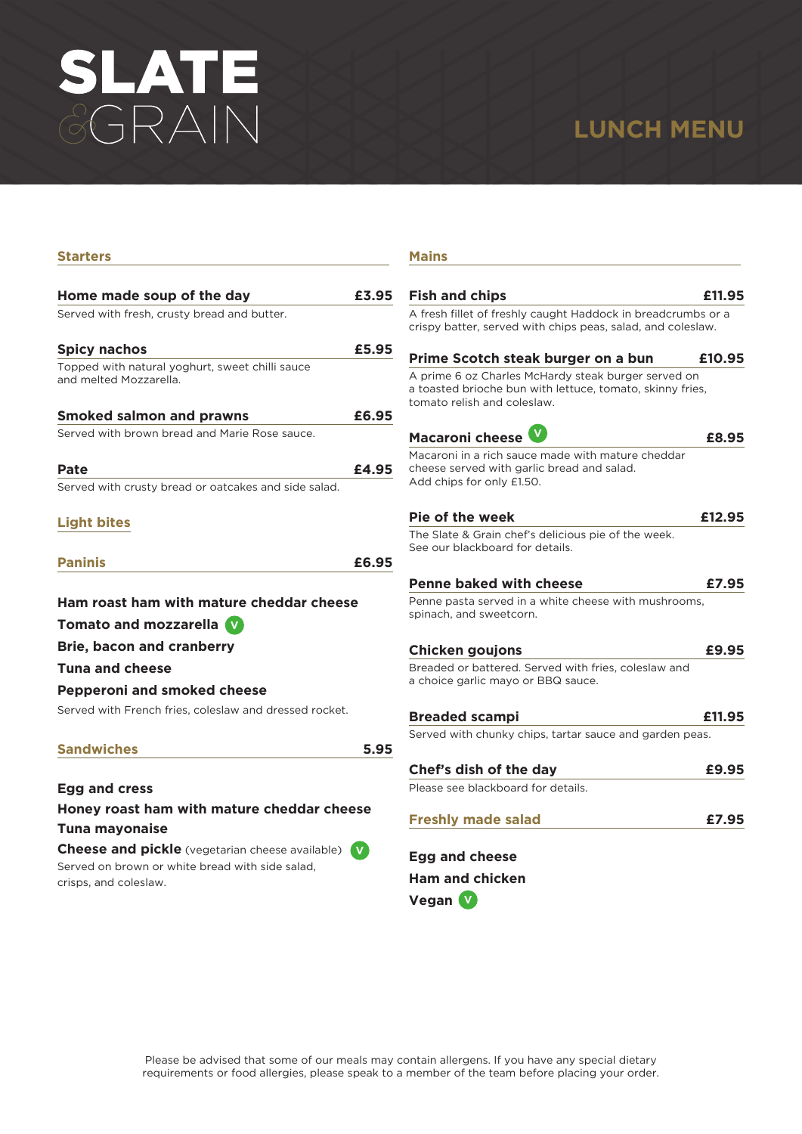# SLATE

# **LUNCH MENU**

| Starters                                               |       |
|--------------------------------------------------------|-------|
|                                                        |       |
| Home made soup of the day                              | £3.95 |
| Served with fresh, crusty bread and butter.            |       |
| <b>Spicy nachos</b>                                    | £5.95 |
| Topped with natural yoghurt, sweet chilli sauce        |       |
| and melted Mozzarella.                                 |       |
| <b>Smoked salmon and prawns</b>                        | £6.95 |
| Served with brown bread and Marie Rose sauce.          |       |
|                                                        | £4.95 |
| Pate                                                   |       |
| Served with crusty bread or oatcakes and side salad.   |       |
| <b>Light bites</b>                                     |       |
|                                                        |       |
| <b>Paninis</b>                                         | £6.95 |
|                                                        |       |
| Ham roast ham with mature cheddar cheese               |       |
| <b>Tomato and mozzarella V</b>                         |       |
| <b>Brie, bacon and cranberry</b>                       |       |
| <b>Tuna and cheese</b>                                 |       |
| <b>Pepperoni and smoked cheese</b>                     |       |
| Served with French fries, coleslaw and dressed rocket. |       |
|                                                        |       |
| <b>Sandwiches</b>                                      | 5.95  |
|                                                        |       |
| <b>Egg and cress</b>                                   |       |
| Honey roast ham with mature cheddar cheese             |       |
| <b>Tuna mayonaise</b>                                  |       |

**Cheese and pickle** (vegetarian cheese available) **V** Served on brown or white bread with side salad, crisps, and coleslaw.

### **Mains**

| <b>Fish and chips</b>                                                                                                                           | £11.95 |
|-------------------------------------------------------------------------------------------------------------------------------------------------|--------|
| A fresh fillet of freshly caught Haddock in breadcrumbs or a<br>crispy batter, served with chips peas, salad, and coleslaw.                     |        |
| Prime Scotch steak burger on a bun                                                                                                              | £10.95 |
| A prime 6 oz Charles McHardy steak burger served on<br>a toasted brioche bun with lettuce, tomato, skinny fries,<br>tomato relish and coleslaw. |        |
| Macaroni cheese                                                                                                                                 | £8.95  |
| Macaroni in a rich sauce made with mature cheddar<br>cheese served with garlic bread and salad.<br>Add chips for only £1.50.                    |        |
| Pie of the week                                                                                                                                 | £12.95 |
| The Slate & Grain chef's delicious pie of the week.<br>See our blackboard for details.                                                          |        |
| <b>Penne baked with cheese</b>                                                                                                                  | £7.95  |
| Penne pasta served in a white cheese with mushrooms,<br>spinach, and sweetcorn.                                                                 |        |
| <b>Chicken goujons</b>                                                                                                                          | £9.95  |
| Breaded or battered. Served with fries, coleslaw and<br>a choice garlic mayo or BBQ sauce.                                                      |        |
| <b>Breaded scampi</b>                                                                                                                           | £11.95 |
| Served with chunky chips, tartar sauce and garden peas.                                                                                         |        |
| Chef's dish of the day                                                                                                                          | £9.95  |
| Please see blackboard for details.                                                                                                              |        |
| <b>Freshly made salad</b>                                                                                                                       | £7.95  |
| <b>Egg and cheese</b>                                                                                                                           |        |
| <b>Ham and chicken</b>                                                                                                                          |        |

**Vegan V**